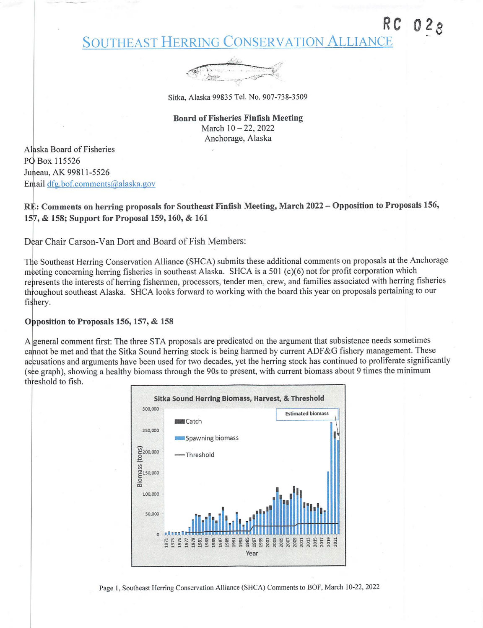## Southeast Herring Conservation Alliance



Sitka, Alaska 99835 Tel. No. 907-738-3509

Board of Fisheries Finfish Meeting March 10-22, 2022 Anchorage, Alaska

Alaska Board of Fisheries PO Box 115526 Juneau, AK 99811-5526 Email dfg.bof.comments@alaska.gov

RE: Comments on herring proposals for Southeast Finfish Meeting, March 2022 - Opposition to Proposals 156, 157, & 158; Support for Proposal 159,160, & 161

Dear Chair Carson-Van Dort and Board of Fish Members:

The Southeast Herring Conservation Alliance (SHCA) submits these additional comments on proposals at the Anchorage meeting concerning herring fisheries in southeast Alaska. SHCA is a 501 (c)(6) not for profit corporation which represents the interests of herring fishermen, processors, tender men, crew, and families associated with herring fisheries throughout southeast Alaska. SHCA looks forward to working with the board this year on proposals pertaining to our fishery.

#### Opposition to Proposals 156, 157, & 158

A general comment first: The three STA proposals are predicated on the argument that subsistence needs sometimes cannot be met and that the Sitka Sound herring stock is being harmed by current ADF&G fishery management. These accusations and arguments have been used for two decades, yet the herring stock has continued to proliferate significantly (see graph), showing a healthy biomass through the 90s to present, with current biomass about 9 times the minimum threshold to fish.



Page 1, Southeast Herring Conservation Alliance (SHCA) Comments to BOF, March 10-22, 2022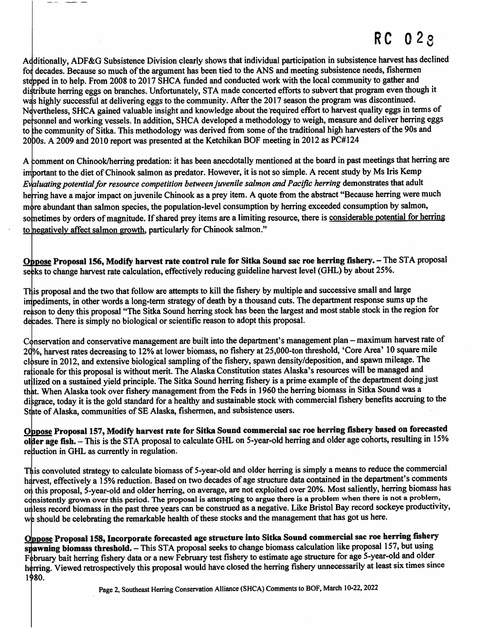# RC 023

Additionally, ADF&G Subsistence Division clearly shows that individual participation in subsistence harvest has declined for decades. Because so much of the argument has been tied to the ANS and meeting subsistence needs, fishermen stepped in to help. From 2008 to 2017 SHCA funded and conducted work with the local community to gather and distribute herring eggs on branches. Unfortunately, STA made concerted efforts to subvert that program even though it was highly successful at delivering eggs to the community. After the 2017 season the program was discontinued. Nevertheless, SHCA gained valuable insight and knowledge about the required effort to harvest quality eggs in terms of personnel and working vessels. In addition, SHCA developed a methodology to weigh, measure and deliver herring eggs to the community of Sitka. This methodology was derived from some of the traditional high harvesters of the 90s and 2000s. A 2009 and 2010 report was presented at the Ketchikan BOF meeting in 2012 as PC#124 pe

A comment on Chinook/herring predation: it has been anecdotally mentioned at the board in past meetings that herring are important to the diet of Chinook salmon as predator. However, it is not so simple. A recent study by Ms Iris Kemp Evaluating potential for resource competition between juvenile salmon and Pacific herring demonstrates that adult herring have a major impact on juvenile Chinook as a prey item. A quote from the abstract "Because herring were much more abundant than salmon species, the population-level consumption by herring exceeded consumption by salmon, sometimes by orders of magnitude. If shared prey items are a limiting resource, there is considerable potential for herring to negatively affect salmon growth, particularly for Chinook salmon."

Oppose Proposal 156, Modify harvest rate control rule for Sitka Sound sac roe herring fishery. - The STA proposal seeks to change harvest rate calculation, effectively reducing guideline harvest level (GHL) by about 25%.

This proposal and the two that follow are attempts to kill the fishery by multiple and successive small and large impediments, in other words a long-term strategy of death by a thousand cuts. The department response sums up the reason to deny this proposal "The Sitka Sound herring stock has been the largest and most stable stock in the region for decades. There is simply no biological or scientific reason to adopt this proposal.

Conservation and conservative management are built into the department's management plan - maximum harvest rate of 20%, harvest rates decreasing to 12% at lower biomass, no fishery at 25,000-ton threshold, 'Core Area' 10 square mile closure in 2012, and extensive biological sampling of the fishery, spawn density/deposition, and spawn mileage. The rationale for this proposal is without merit. The Alaska Constitution states Alaska's resources will be managed and<br>rational constitution of the constitution of the constitution of the constitution of the constant data of utilized on a sustained yield principle. The Sitka Sound herring fishery is a prime example of the department doing just that. When Alaska took over fishery management from the Feds in 1960 the herring biomass in Sitka Sound was a disgrace, today it is the gold standard for a healthy and sustainable stock with commercial fishery benefits accruing to the State of Alaska, communities of SE Alaska, fishermen, and subsistence users.

Oppose Proposal 157, Modify harvest rate for Sitka Sound commercial sac roe herring fishery based on forecasted older age fish. - This is the STA proposal to calculate GHL on 5-year-old herring and older age cohorts, resulting in 15% reduction in GHL as currently in regulation.

This convoluted strategy to calculate biomass of 5-year-old and older herring is simply a means to reduce the commercial harvest, effectively a 15% reduction. Based on two decades of age structure data contained in the department's comments on this proposal, 5-year-old and older herring, on average, are not exploited over 20%. Most saliently, herring biomass has consistently grown over this period. The proposal is attempting to argue there is a problem when there is not a problem, unless record biomass in the past three years can be construed as a negative. Like Bristol Bay record sockeye productivity, we should be celebrating the remarkable health of these stocks and the management that has got us here.

Oppose Proposal 158, Incorporate forecasted age structure into Sitka Sound commercial sac roe herring fishery spawning biomass threshold. — This STA proposal seeks to change biomass calculation like proposal 157, but using February bait herring fishery data or a new February test fishery to estimate age structure for age 5-year-old and older herring. Viewed retrospectively this proposal would have closed the herring fishery unnecessarily at least six times since 1980.

Page 2, Southeast Herring Conservation Alliance (SHCA) Comments to BOF, March 10-22, 2022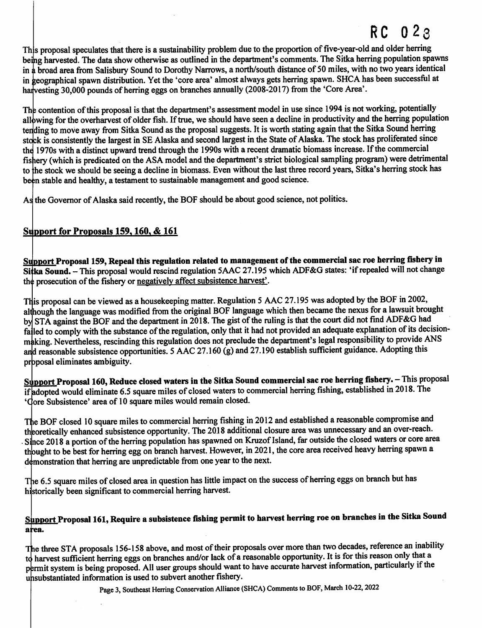# RC 023

This proposal speculates that there is a sustainability problem due to the proportion of five-year-old and older herring being harvested. The data show otherwise as outlined in the department's comments. The Sitka herring population spawns in a broad area from Salisbury Sound to Dorothy Narrows, a north/south distance of 50 miles, with no two years identical in geographical spawn distribution. Yet the 'core area' almost always gets herring spawn. SHCA has been successful at harvesting 30,000 pounds of herring eggs on branches annually (2008-2017) from the 'Core Area'.

The contention of this proposal is that the department's assessment model in use since 1994 is not working, potentially allowing for the overharvest of older fish. If true, we should have seen a decline in productivity and the herring population tending to move away from Sitka Sound as the proposal suggests. It is worth stating again that the Sitka Sound herring stock is consistently the largest in SE Alaska and second largest in the State of Alaska. The stock has proliferated since the 1970s with a distinct upward trend through the 1990s with a recent dramatic biomass increase. If the commercial fishery (which is predicated on the ASA model and the department's strict biological sampling program) were detrimental to he stock we should be seeing a decline in biomass. Even without the last three record years, Sitka's herring stock has been stable and healthy, a testament to sustainable management and good science.

As the Governor of Alaska said recently, the EOF should be about good science, not politics.

### Support for Proposals 159, 160, & 161

Support Proposal 159, Repeal this regulation related to management of the commercial sac roe herring fishery in Sitka Sound. - This proposal would rescind regulation 5AAC 27.195 which ADF&G states: 'if repealed will not change the prosecution of the fishery or negatively affect subsistence harvest'.

This proposal can be viewed as a housekeeping matter. Regulation 5 AAC 27.195 was adopted by the BOF in 2002, although the language was modified from the original EOF language which then became the nexus for a lawsuit brought by STA against the BOF and the department in 2018. The gist of the ruling is that the court did not find ADF&G had failed to comply with the substance of the regulation, only that it had not provided an adequate explanation of its decisionmaking. Nevertheless, rescinding this regulation does not preclude the department's legal responsibility to provide ANS and reasonable subsistence opportunities. 5 AAC 27.160 (g) and 27.190 establish sufficient guidance. Adopting this proposal eliminates ambiguity.

Support Proposal 160, Reduce closed waters in the Sitka Sound commercial sac roe herring fishery. - This proposal if adopted would eliminate 6.5 square miles of closed waters to commercial herring fishing, established in 2018. The 'Core Subsistence' area of 10 square miles would remain closed.

The EOF closed 10 square miles to commercial herring fishing in 2012 and established a reasonable compromise and theoretically enhanced subsistence opportunity. The  $2018$  additional closure area was unnecessary and an over-reach. Since 2018 a portion of the herring population has spawned on Kruzof Island, far outside the closed waters or core area thought to be best for herring egg on branch harvest. However, in 2021, the core area received heavy herring spawn a demonstration that herring are unpredictable from one year to the next.

The 6.5 square miles of closed area in question has little impact on the success of herring eggs on branch but has historically been significant to commercial herring harvest.

### Support Proposal 161, Require a subsistence fishing permit to harvest herring roe on branches in the Sitka Sound area.

The three STA proposals 156-158 above, and most of their proposals over more than two decades, reference an inability to harvest sufficient herring eggs on branches and/or lack of a reasonable opportunity. It is for this reason only that a permit system is being proposed. All user groups should want to have accurate harvest information, particularly if the unsubstantiated information is used to subvert another fishery.

Page 3, Southeast Herring Conservation Alliance (SHCA) Comments to BOF, March 10-22, 2022